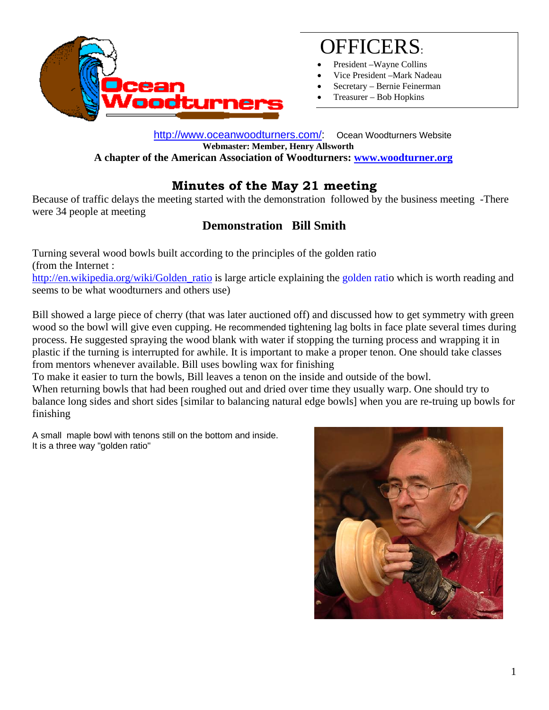

# OFFICERS:

- President –Wayne Collins
- Vice President –Mark Nadeau
- Secretary Bernie Feinerman
- Treasurer Bob Hopkins

 http://www.oceanwoodturners.com/: Ocean Woodturners Website **Webmaster: Member, Henry Allsworth A chapter of the American Association of Woodturners: www.woodturner.org** 

## **Minutes of the May 21 meeting**

Because of traffic delays the meeting started with the demonstration followed by the business meeting -There were 34 people at meeting

### **Demonstration Bill Smith**

Turning several wood bowls built according to the principles of the golden ratio (from the Internet : http://en.wikipedia.org/wiki/Golden\_ratio is large article explaining the golden ratio which is worth reading and seems to be what woodturners and others use)

Bill showed a large piece of cherry (that was later auctioned off) and discussed how to get symmetry with green wood so the bowl will give even cupping. He recommended tightening lag bolts in face plate several times during process. He suggested spraying the wood blank with water if stopping the turning process and wrapping it in plastic if the turning is interrupted for awhile. It is important to make a proper tenon. One should take classes from mentors whenever available. Bill uses bowling wax for finishing

To make it easier to turn the bowls, Bill leaves a tenon on the inside and outside of the bowl.

When returning bowls that had been roughed out and dried over time they usually warp. One should try to balance long sides and short sides [similar to balancing natural edge bowls] when you are re-truing up bowls for finishing

A small maple bowl with tenons still on the bottom and inside. It is a three way "golden ratio"

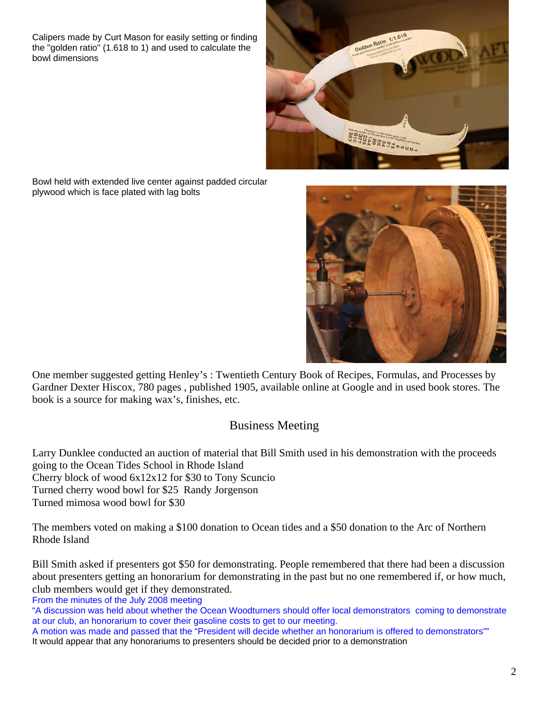Calipers made by Curt Mason for easily setting or finding the "golden ratio" (1.618 to 1) and used to calculate the bowl dimensions



Bowl held with extended live center against padded circular plywood which is face plated with lag bolts



One member suggested getting Henley's : Twentieth Century Book of Recipes, Formulas, and Processes by Gardner Dexter Hiscox, 780 pages , published 1905, available online at Google and in used book stores. The book is a source for making wax's, finishes, etc.

#### Business Meeting

Larry Dunklee conducted an auction of material that Bill Smith used in his demonstration with the proceeds going to the Ocean Tides School in Rhode Island Cherry block of wood 6x12x12 for \$30 to Tony Scuncio Turned cherry wood bowl for \$25 Randy Jorgenson Turned mimosa wood bowl for \$30

The members voted on making a \$100 donation to Ocean tides and a \$50 donation to the Arc of Northern Rhode Island

Bill Smith asked if presenters got \$50 for demonstrating. People remembered that there had been a discussion about presenters getting an honorarium for demonstrating in the past but no one remembered if, or how much, club members would get if they demonstrated.

From the minutes of the July 2008 meeting

"A discussion was held about whether the Ocean Woodturners should offer local demonstrators coming to demonstrate at our club, an honorarium to cover their gasoline costs to get to our meeting.

A motion was made and passed that the "President will decide whether an honorarium is offered to demonstrators"" It would appear that any honorariums to presenters should be decided prior to a demonstration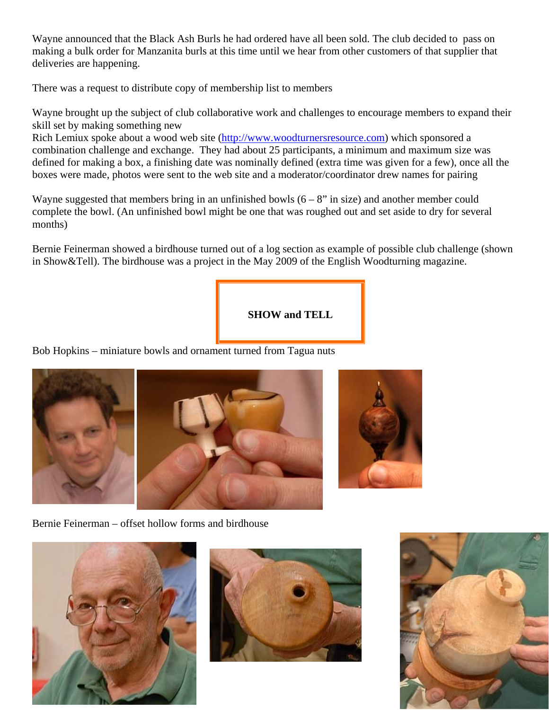Wayne announced that the Black Ash Burls he had ordered have all been sold. The club decided to pass on making a bulk order for Manzanita burls at this time until we hear from other customers of that supplier that deliveries are happening.

There was a request to distribute copy of membership list to members

Wayne brought up the subject of club collaborative work and challenges to encourage members to expand their skill set by making something new

Rich Lemiux spoke about a wood web site (http://www.woodturnersresource.com) which sponsored a combination challenge and exchange. They had about 25 participants, a minimum and maximum size was defined for making a box, a finishing date was nominally defined (extra time was given for a few), once all the boxes were made, photos were sent to the web site and a moderator/coordinator drew names for pairing

Wayne suggested that members bring in an unfinished bowls  $(6 - 8$ " in size) and another member could complete the bowl. (An unfinished bowl might be one that was roughed out and set aside to dry for several months)

Bernie Feinerman showed a birdhouse turned out of a log section as example of possible club challenge (shown in Show&Tell). The birdhouse was a project in the May 2009 of the English Woodturning magazine.

**SHOW and TELL** 

Bob Hopkins – miniature bowls and ornament turned from Tagua nuts



Bernie Feinerman – offset hollow forms and birdhouse